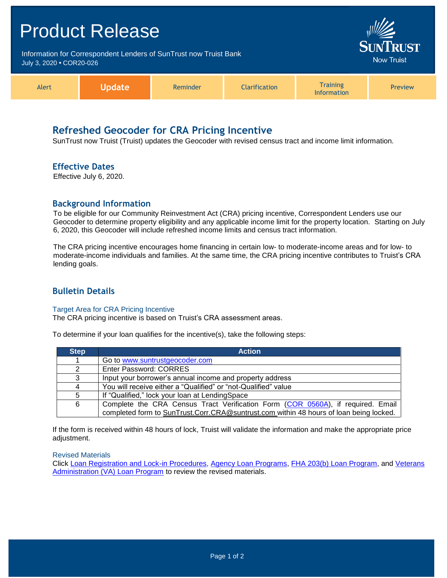| <b>Product Release</b>   |                                                                   |          |                                      |                                       |         |
|--------------------------|-------------------------------------------------------------------|----------|--------------------------------------|---------------------------------------|---------|
| July 3, 2020 • COR20-026 | Information for Correspondent Lenders of SunTrust now Truist Bank |          | <b>SUNTRUST</b><br><b>Now Truist</b> |                                       |         |
| Alert                    | <b>Update</b>                                                     | Reminder | <b>Clarification</b>                 | <b>Training</b><br><b>Information</b> | Preview |

# **Refreshed Geocoder for CRA Pricing Incentive**

SunTrust now Truist (Truist) updates the Geocoder with revised census tract and income limit information.

### **Effective Dates**

Effective July 6, 2020.

### **Background Information**

To be eligible for our Community Reinvestment Act (CRA) pricing incentive, Correspondent Lenders use our Geocoder to determine property eligibility and any applicable income limit for the property location. Starting on July 6, 2020, this Geocoder will include refreshed income limits and census tract information.

The CRA pricing incentive encourages home financing in certain low- to moderate-income areas and for low- to moderate-income individuals and families. At the same time, the CRA pricing incentive contributes to Truist's CRA lending goals.

# **Bulletin Details**

#### Target Area for CRA Pricing Incentive

The CRA pricing incentive is based on Truist's CRA assessment areas.

To determine if your loan qualifies for the incentive(s), take the following steps:

| <b>Step</b> | <b>Action</b>                                                                          |
|-------------|----------------------------------------------------------------------------------------|
|             | Go to www.suntrustgeocoder.com                                                         |
| 2           | Enter Password: CORRES                                                                 |
| 3           | Input your borrower's annual income and property address                               |
| 4           | You will receive either a "Qualified" or "not-Qualified" value                         |
| 5           | If "Qualified," lock your loan at LendingSpace                                         |
| 6           | Complete the CRA Census Tract Verification Form (COR 0560A), if required. Email        |
|             | completed form to SunTrust.Corr.CRA@suntrust.com within 48 hours of loan being locked. |

If the form is received within 48 hours of lock, Truist will validate the information and make the appropriate price adjustment.

#### Revised Materials

Click [Loan Registration and Lock-in Procedures,](https://www.truistsellerguide.com/Manual/cor/general/1.03Lockin.pdf) [Agency Loan Programs,](https://www.truistsellerguide.com/Manual/cor/products/CAgency.pdf) [FHA 203\(b\) Loan Program, and](https://www.truistsellerguide.com/Manual/cor/products/CFHA.pdf) [Veterans](https://www.truistsellerguide.com/Manual/cor/products/CVA.pdf)  [Administration \(VA\) Loan Program](https://www.truistsellerguide.com/Manual/cor/products/CVA.pdf) to review the revised materials.